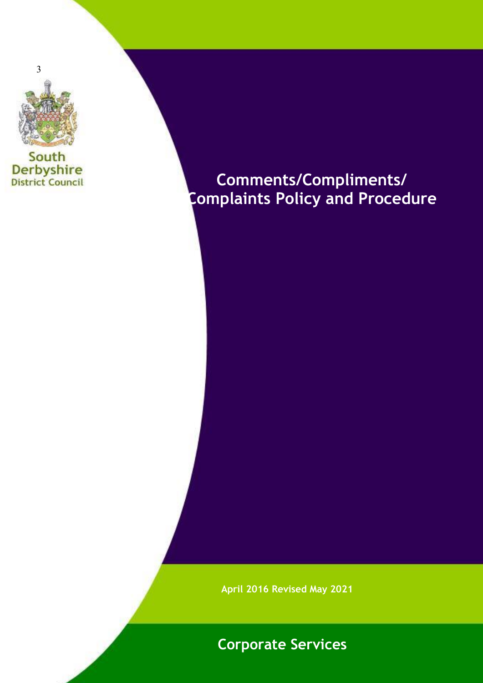

South **Derbyshire**<br>District Council

# **Comments/Compliments/ Complaints Policy and Procedure**

**April 2016 Revised May 2021**

## **Corporate Services**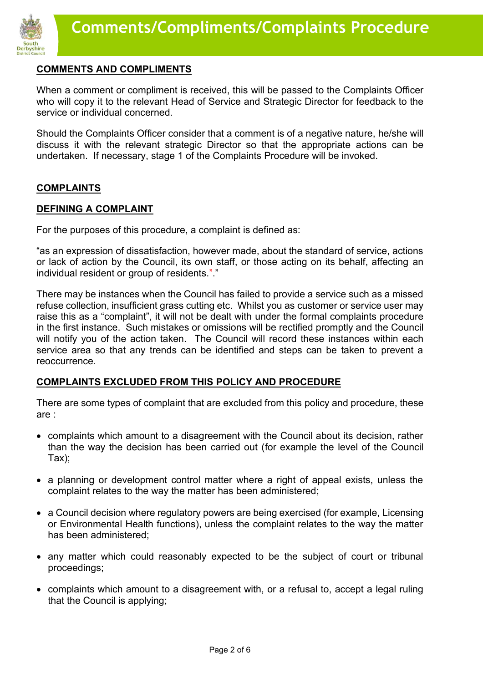

## **COMMENTS AND COMPLIMENTS**

When a comment or compliment is received, this will be passed to the Complaints Officer who will copy it to the relevant Head of Service and Strategic Director for feedback to the service or individual concerned.

Should the Complaints Officer consider that a comment is of a negative nature, he/she will discuss it with the relevant strategic Director so that the appropriate actions can be undertaken. If necessary, stage 1 of the Complaints Procedure will be invoked.

## **COMPLAINTS**

#### **DEFINING A COMPLAINT**

For the purposes of this procedure, a complaint is defined as:

"as an expression of dissatisfaction, however made, about the standard of service, actions or lack of action by the Council, its own staff, or those acting on its behalf, affecting an individual resident or group of residents."."

There may be instances when the Council has failed to provide a service such as a missed refuse collection, insufficient grass cutting etc. Whilst you as customer or service user may raise this as a "complaint", it will not be dealt with under the formal complaints procedure in the first instance. Such mistakes or omissions will be rectified promptly and the Council will notify you of the action taken. The Council will record these instances within each service area so that any trends can be identified and steps can be taken to prevent a reoccurrence.

## **COMPLAINTS EXCLUDED FROM THIS POLICY AND PROCEDURE**

There are some types of complaint that are excluded from this policy and procedure, these are :

- complaints which amount to a disagreement with the Council about its decision, rather than the way the decision has been carried out (for example the level of the Council Tax);
- a planning or development control matter where a right of appeal exists, unless the complaint relates to the way the matter has been administered;
- a Council decision where regulatory powers are being exercised (for example, Licensing or Environmental Health functions), unless the complaint relates to the way the matter has been administered;
- any matter which could reasonably expected to be the subject of court or tribunal proceedings;
- complaints which amount to a disagreement with, or a refusal to, accept a legal ruling that the Council is applying;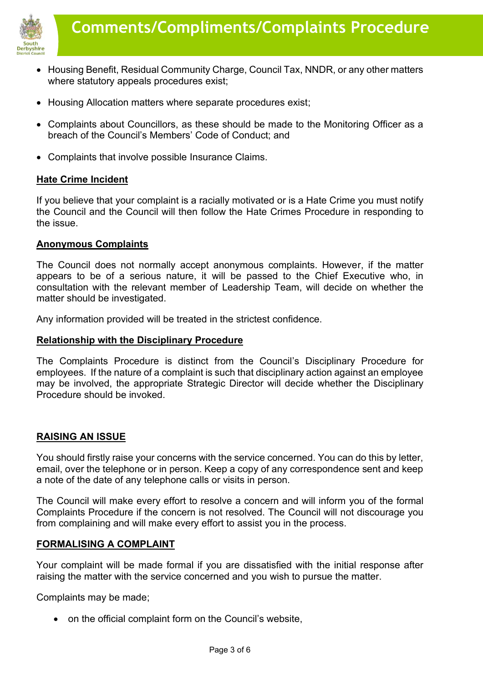

- Housing Benefit, Residual Community Charge, Council Tax, NNDR, or any other matters where statutory appeals procedures exist;
- Housing Allocation matters where separate procedures exist:
- Complaints about Councillors, as these should be made to the Monitoring Officer as a breach of the Council's Members' Code of Conduct; and
- Complaints that involve possible Insurance Claims.

## **Hate Crime Incident**

If you believe that your complaint is a racially motivated or is a Hate Crime you must notify the Council and the Council will then follow the Hate Crimes Procedure in responding to the issue.

## **Anonymous Complaints**

The Council does not normally accept anonymous complaints. However, if the matter appears to be of a serious nature, it will be passed to the Chief Executive who, in consultation with the relevant member of Leadership Team, will decide on whether the matter should be investigated.

Any information provided will be treated in the strictest confidence.

## **Relationship with the Disciplinary Procedure**

The Complaints Procedure is distinct from the Council's Disciplinary Procedure for employees. If the nature of a complaint is such that disciplinary action against an employee may be involved, the appropriate Strategic Director will decide whether the Disciplinary Procedure should be invoked.

## **RAISING AN ISSUE**

You should firstly raise your concerns with the service concerned. You can do this by letter, email, over the telephone or in person. Keep a copy of any correspondence sent and keep a note of the date of any telephone calls or visits in person.

The Council will make every effort to resolve a concern and will inform you of the formal Complaints Procedure if the concern is not resolved. The Council will not discourage you from complaining and will make every effort to assist you in the process.

## **FORMALISING A COMPLAINT**

Your complaint will be made formal if you are dissatisfied with the initial response after raising the matter with the service concerned and you wish to pursue the matter.

Complaints may be made;

• on the official complaint form on the Council's website,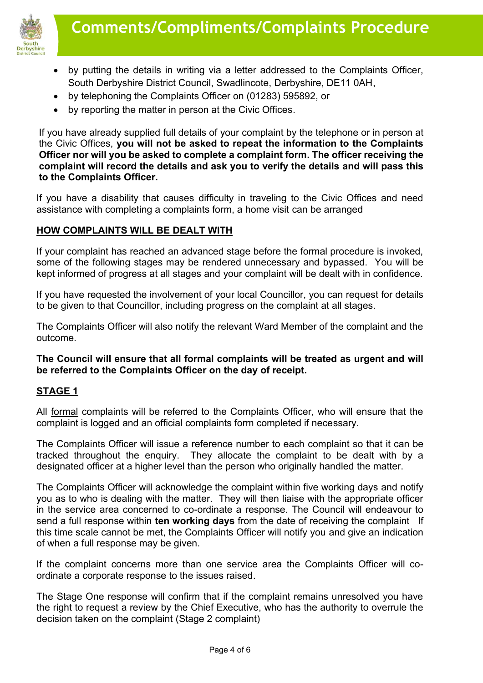

- by putting the details in writing via a letter addressed to the Complaints Officer, South Derbyshire District Council, Swadlincote, Derbyshire, DE11 0AH,
- by telephoning the Complaints Officer on (01283) 595892, or
- by reporting the matter in person at the Civic Offices.

If you have already supplied full details of your complaint by the telephone or in person at the Civic Offices, **you will not be asked to repeat the information to the Complaints Officer nor will you be asked to complete a complaint form. The officer receiving the complaint will record the details and ask you to verify the details and will pass this to the Complaints Officer.** 

If you have a disability that causes difficulty in traveling to the Civic Offices and need assistance with completing a complaints form, a home visit can be arranged

## **HOW COMPLAINTS WILL BE DEALT WITH**

If your complaint has reached an advanced stage before the formal procedure is invoked, some of the following stages may be rendered unnecessary and bypassed. You will be kept informed of progress at all stages and your complaint will be dealt with in confidence.

If you have requested the involvement of your local Councillor, you can request for details to be given to that Councillor, including progress on the complaint at all stages.

The Complaints Officer will also notify the relevant Ward Member of the complaint and the outcome.

## **The Council will ensure that all formal complaints will be treated as urgent and will be referred to the Complaints Officer on the day of receipt.**

## **STAGE 1**

All formal complaints will be referred to the Complaints Officer, who will ensure that the complaint is logged and an official complaints form completed if necessary.

The Complaints Officer will issue a reference number to each complaint so that it can be tracked throughout the enquiry. They allocate the complaint to be dealt with by a designated officer at a higher level than the person who originally handled the matter.

The Complaints Officer will acknowledge the complaint within five working days and notify you as to who is dealing with the matter. They will then liaise with the appropriate officer in the service area concerned to co-ordinate a response. The Council will endeavour to send a full response within **ten working days** from the date of receiving the complaint If this time scale cannot be met, the Complaints Officer will notify you and give an indication of when a full response may be given.

If the complaint concerns more than one service area the Complaints Officer will coordinate a corporate response to the issues raised.

The Stage One response will confirm that if the complaint remains unresolved you have the right to request a review by the Chief Executive, who has the authority to overrule the decision taken on the complaint (Stage 2 complaint)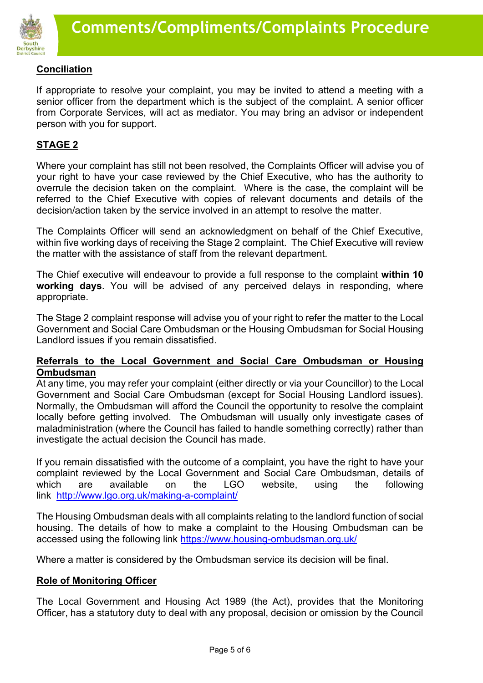

## **Conciliation**

If appropriate to resolve your complaint, you may be invited to attend a meeting with a senior officer from the department which is the subject of the complaint. A senior officer from Corporate Services, will act as mediator. You may bring an advisor or independent person with you for support.

## **STAGE 2**

Where your complaint has still not been resolved, the Complaints Officer will advise you of your right to have your case reviewed by the Chief Executive, who has the authority to overrule the decision taken on the complaint. Where is the case, the complaint will be referred to the Chief Executive with copies of relevant documents and details of the decision/action taken by the service involved in an attempt to resolve the matter.

The Complaints Officer will send an acknowledgment on behalf of the Chief Executive, within five working days of receiving the Stage 2 complaint. The Chief Executive will review the matter with the assistance of staff from the relevant department.

The Chief executive will endeavour to provide a full response to the complaint **within 10 working days**. You will be advised of any perceived delays in responding, where appropriate.

The Stage 2 complaint response will advise you of your right to refer the matter to the Local Government and Social Care Ombudsman or the Housing Ombudsman for Social Housing Landlord issues if you remain dissatisfied.

## **Referrals to the Local Government and Social Care Ombudsman or Housing Ombudsman**

At any time, you may refer your complaint (either directly or via your Councillor) to the Local Government and Social Care Ombudsman (except for Social Housing Landlord issues). Normally, the Ombudsman will afford the Council the opportunity to resolve the complaint locally before getting involved. The Ombudsman will usually only investigate cases of maladministration (where the Council has failed to handle something correctly) rather than investigate the actual decision the Council has made.

If you remain dissatisfied with the outcome of a complaint, you have the right to have your complaint reviewed by the Local Government and Social Care Ombudsman, details of which are available on the LGO website, using the following link <http://www.lgo.org.uk/making-a-complaint/>

The Housing Ombudsman deals with all complaints relating to the landlord function of social housing. The details of how to make a complaint to the Housing Ombudsman can be accessed using the following link<https://www.housing-ombudsman.org.uk/>

Where a matter is considered by the Ombudsman service its decision will be final.

## **Role of Monitoring Officer**

The Local Government and Housing Act 1989 (the Act), provides that the Monitoring Officer, has a statutory duty to deal with any proposal, decision or omission by the Council